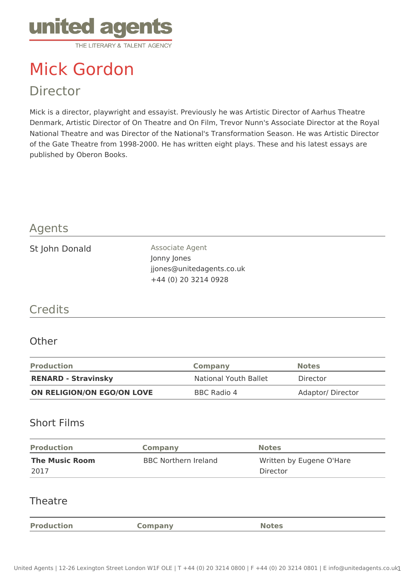

# Mick Gordon

## Director

Mick is a director, playwright and essayist. Previously he was Artistic Director of Aarhus Theatre Denmark, Artistic Director of On Theatre and On Film, Trevor Nunn's Associate Director at the Royal National Theatre and was Director of the National's Transformation Season. He was Artistic Director of the Gate Theatre from 1998-2000. He has written eight plays. These and his latest essays are published by Oberon Books.

## Agents

St John Donald **Associate Agent** 

Jonny Jones jjones@unitedagents.co.uk +44 (0) 20 3214 0928

## **Credits**

#### **Other**

| <b>Production</b>          | <b>Company</b>        | <b>Notes</b>     |
|----------------------------|-----------------------|------------------|
| <b>RENARD - Stravinsky</b> | National Youth Ballet | Director         |
| ON RELIGION/ON EGO/ON LOVE | BBC Radio 4           | Adaptor/Director |

### Short Films

| <b>Production</b>     | <b>Company</b>              | <b>Notes</b>             |
|-----------------------|-----------------------------|--------------------------|
| <b>The Music Room</b> | <b>BBC Northern Ireland</b> | Written by Eugene O'Hare |
| 2017                  |                             | Director                 |

#### **Theatre**

**Production Company Notes**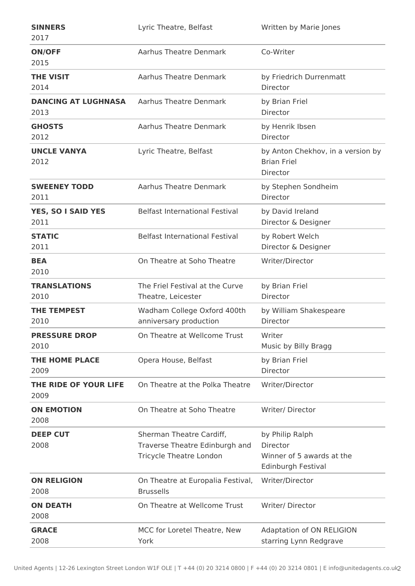| <b>SINNERS</b><br>2017             | Lyric Theatre, Belfast                                                                       | Written by Marie Jones                                                         |
|------------------------------------|----------------------------------------------------------------------------------------------|--------------------------------------------------------------------------------|
| <b>ON/OFF</b><br>2015              | <b>Aarhus Theatre Denmark</b>                                                                | Co-Writer                                                                      |
| <b>THE VISIT</b><br>2014           | <b>Aarhus Theatre Denmark</b>                                                                | by Friedrich Durrenmatt<br>Director                                            |
| <b>DANCING AT LUGHNASA</b><br>2013 | <b>Aarhus Theatre Denmark</b>                                                                | by Brian Friel<br>Director                                                     |
| <b>GHOSTS</b><br>2012              | <b>Aarhus Theatre Denmark</b>                                                                | by Henrik Ibsen<br>Director                                                    |
| <b>UNCLE VANYA</b><br>2012         | Lyric Theatre, Belfast                                                                       | by Anton Chekhov, in a version by<br><b>Brian Friel</b><br>Director            |
| <b>SWEENEY TODD</b><br>2011        | <b>Aarhus Theatre Denmark</b>                                                                | by Stephen Sondheim<br>Director                                                |
| YES, SO I SAID YES<br>2011         | <b>Belfast International Festival</b>                                                        | by David Ireland<br>Director & Designer                                        |
| <b>STATIC</b><br>2011              | <b>Belfast International Festival</b>                                                        | by Robert Welch<br>Director & Designer                                         |
| <b>BEA</b><br>2010                 | On Theatre at Soho Theatre                                                                   | Writer/Director                                                                |
| <b>TRANSLATIONS</b><br>2010        | The Friel Festival at the Curve<br>Theatre, Leicester                                        | by Brian Friel<br>Director                                                     |
| <b>THE TEMPEST</b><br>2010         | Wadham College Oxford 400th<br>anniversary production                                        | by William Shakespeare<br>Director                                             |
| <b>PRESSURE DROP</b><br>2010       | On Theatre at Wellcome Trust                                                                 | Writer<br>Music by Billy Bragg                                                 |
| THE HOME PLACE<br>2009             | Opera House, Belfast                                                                         | by Brian Friel<br>Director                                                     |
| THE RIDE OF YOUR LIFE<br>2009      | On Theatre at the Polka Theatre                                                              | Writer/Director                                                                |
| <b>ON EMOTION</b><br>2008          | On Theatre at Soho Theatre                                                                   | Writer/ Director                                                               |
| <b>DEEP CUT</b><br>2008            | Sherman Theatre Cardiff,<br>Traverse Theatre Edinburgh and<br><b>Tricycle Theatre London</b> | by Philip Ralph<br>Director<br>Winner of 5 awards at the<br>Edinburgh Festival |
| <b>ON RELIGION</b><br>2008         | On Theatre at Europalia Festival,<br><b>Brussells</b>                                        | Writer/Director                                                                |
| <b>ON DEATH</b><br>2008            | On Theatre at Wellcome Trust                                                                 | Writer/ Director                                                               |
| <b>GRACE</b><br>2008               | MCC for Loretel Theatre, New<br>York                                                         | Adaptation of ON RELIGION<br>starring Lynn Redgrave                            |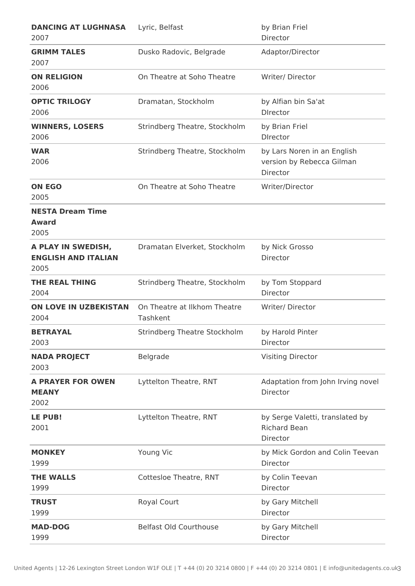| <b>DANCING AT LUGHNASA</b><br>2007                       | Lyric, Belfast                           | by Brian Friel<br><b>Director</b>                                    |
|----------------------------------------------------------|------------------------------------------|----------------------------------------------------------------------|
| <b>GRIMM TALES</b><br>2007                               | Dusko Radovic, Belgrade                  | Adaptor/Director                                                     |
| <b>ON RELIGION</b><br>2006                               | On Theatre at Soho Theatre               | Writer/ Director                                                     |
| <b>OPTIC TRILOGY</b><br>2006                             | Dramatan, Stockholm                      | by Alfian bin Sa'at<br><b>DIrector</b>                               |
| <b>WINNERS, LOSERS</b><br>2006                           | Strindberg Theatre, Stockholm            | by Brian Friel<br><b>DIrector</b>                                    |
| <b>WAR</b><br>2006                                       | Strindberg Theatre, Stockholm            | by Lars Noren in an English<br>version by Rebecca Gilman<br>Director |
| <b>ON EGO</b><br>2005                                    | On Theatre at Soho Theatre               | Writer/Director                                                      |
| <b>NESTA Dream Time</b><br><b>Award</b><br>2005          |                                          |                                                                      |
| A PLAY IN SWEDISH,<br><b>ENGLISH AND ITALIAN</b><br>2005 | Dramatan Elverket, Stockholm             | by Nick Grosso<br>Director                                           |
| THE REAL THING<br>2004                                   | Strindberg Theatre, Stockholm            | by Tom Stoppard<br>Director                                          |
| <b>ON LOVE IN UZBEKISTAN</b><br>2004                     | On Theatre at Ilkhom Theatre<br>Tashkent | Writer/ Director                                                     |
| <b>BETRAYAL</b><br>2003                                  | <b>Strindberg Theatre Stockholm</b>      | by Harold Pinter<br>Director                                         |
| <b>NADA PROJECT</b><br>2003                              | Belgrade                                 | <b>Visiting Director</b>                                             |
| <b>A PRAYER FOR OWEN</b><br><b>MEANY</b><br>2002         | Lyttelton Theatre, RNT                   | Adaptation from John Irving novel<br>Director                        |
| LE PUB!<br>2001                                          | Lyttelton Theatre, RNT                   | by Serge Valetti, translated by<br><b>Richard Bean</b><br>Director   |
| <b>MONKEY</b><br>1999                                    | Young Vic                                | by Mick Gordon and Colin Teevan<br>Director                          |
| <b>THE WALLS</b><br>1999                                 | Cottesloe Theatre, RNT                   | by Colin Teevan<br>Director                                          |
| <b>TRUST</b><br>1999                                     | Royal Court                              | by Gary Mitchell<br>Director                                         |
| <b>MAD-DOG</b><br>1999                                   | <b>Belfast Old Courthouse</b>            | by Gary Mitchell<br>Director                                         |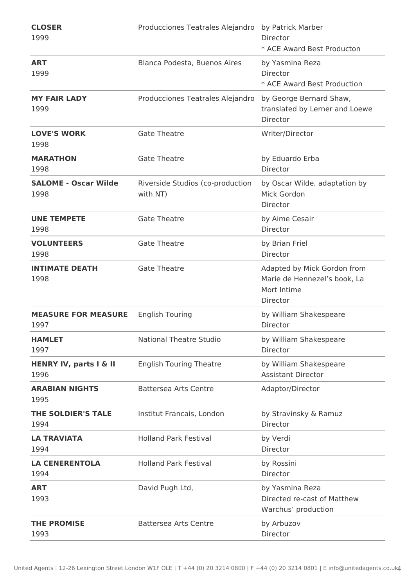| <b>CLOSER</b><br>1999                     | Producciones Teatrales Alejandro by Patrick Marber | Director<br>* ACE Award Best Producton                                                 |
|-------------------------------------------|----------------------------------------------------|----------------------------------------------------------------------------------------|
| <b>ART</b><br>1999                        | Blanca Podesta, Buenos Aires                       | by Yasmina Reza<br>Director<br>* ACE Award Best Production                             |
| <b>MY FAIR LADY</b><br>1999               | Producciones Teatrales Alejandro                   | by George Bernard Shaw,<br>translated by Lerner and Loewe<br>Director                  |
| <b>LOVE'S WORK</b><br>1998                | <b>Gate Theatre</b>                                | Writer/Director                                                                        |
| <b>MARATHON</b><br>1998                   | <b>Gate Theatre</b>                                | by Eduardo Erba<br><b>Director</b>                                                     |
| <b>SALOME - Oscar Wilde</b><br>1998       | Riverside Studios (co-production<br>with NT)       | by Oscar Wilde, adaptation by<br>Mick Gordon<br>Director                               |
| <b>UNE TEMPETE</b><br>1998                | <b>Gate Theatre</b>                                | by Aime Cesair<br>Director                                                             |
| <b>VOLUNTEERS</b><br>1998                 | <b>Gate Theatre</b>                                | by Brian Friel<br>Director                                                             |
| <b>INTIMATE DEATH</b><br>1998             | <b>Gate Theatre</b>                                | Adapted by Mick Gordon from<br>Marie de Hennezel's book, La<br>Mort Intime<br>Director |
| <b>MEASURE FOR MEASURE</b><br>1997        | <b>English Touring</b>                             | by William Shakespeare<br>Director                                                     |
| <b>HAMLET</b><br>1997                     | <b>National Theatre Studio</b>                     | by William Shakespeare<br>Director                                                     |
| <b>HENRY IV, parts I &amp; II</b><br>1996 | <b>English Touring Theatre</b>                     | by William Shakespeare<br><b>Assistant Director</b>                                    |
| <b>ARABIAN NIGHTS</b><br>1995             | <b>Battersea Arts Centre</b>                       | Adaptor/Director                                                                       |
| THE SOLDIER'S TALE<br>1994                | Institut Francais, London                          | by Stravinsky & Ramuz<br><b>Director</b>                                               |
| <b>LA TRAVIATA</b><br>1994                | <b>Holland Park Festival</b>                       | by Verdi<br>Director                                                                   |
| <b>LA CENERENTOLA</b><br>1994             | <b>Holland Park Festival</b>                       | by Rossini<br>Director                                                                 |
| <b>ART</b><br>1993                        | David Pugh Ltd,                                    | by Yasmina Reza<br>Directed re-cast of Matthew<br>Warchus' production                  |
| <b>THE PROMISE</b><br>1993                | <b>Battersea Arts Centre</b>                       | by Arbuzov<br>Director                                                                 |